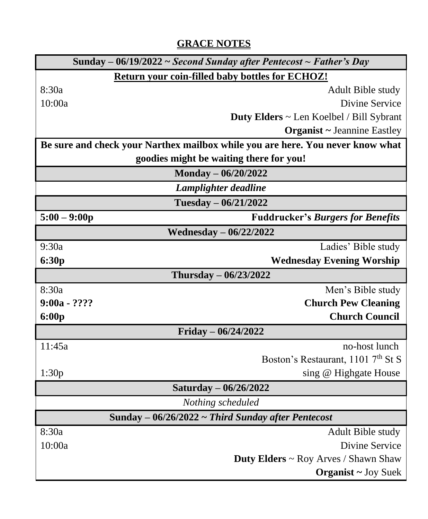# **GRACE NOTES**

|                                                                                | Sunday – 06/19/2022 ~ Second Sunday after Pentecost ~ Father's Day |  |
|--------------------------------------------------------------------------------|--------------------------------------------------------------------|--|
| Return your coin-filled baby bottles for ECHOZ!                                |                                                                    |  |
| 8:30a                                                                          | Adult Bible study                                                  |  |
| 10:00a                                                                         | Divine Service                                                     |  |
|                                                                                | Duty Elders ~ Len Koelbel / Bill Sybrant                           |  |
|                                                                                | <b>Organist ~ Jeannine Eastley</b>                                 |  |
| Be sure and check your Narthex mailbox while you are here. You never know what |                                                                    |  |
| goodies might be waiting there for you!                                        |                                                                    |  |
| Monday - 06/20/2022                                                            |                                                                    |  |
| Lamplighter deadline                                                           |                                                                    |  |
| Tuesday - 06/21/2022                                                           |                                                                    |  |
| $5:00 - 9:00p$                                                                 | <b>Fuddrucker's Burgers for Benefits</b>                           |  |
| <b>Wednesday - 06/22/2022</b>                                                  |                                                                    |  |
| 9:30a                                                                          | Ladies' Bible study                                                |  |
| 6:30p                                                                          | <b>Wednesday Evening Worship</b>                                   |  |
| Thursday - 06/23/2022                                                          |                                                                    |  |
| 8:30a                                                                          | Men's Bible study                                                  |  |
| $9:00a - ????$                                                                 | <b>Church Pew Cleaning</b>                                         |  |
| 6:00p                                                                          | <b>Church Council</b>                                              |  |
| Friday $- 06/24/2022$                                                          |                                                                    |  |
| 11:45a                                                                         | no-host lunch                                                      |  |
|                                                                                | Boston's Restaurant, 1101 7 <sup>th</sup> St S                     |  |
| 1:30p                                                                          | sing @ Highgate House                                              |  |
|                                                                                | Saturday - 06/26/2022                                              |  |
| Nothing scheduled                                                              |                                                                    |  |
| Sunday $-$ 06/26/2022 $\sim$ Third Sunday after Pentecost                      |                                                                    |  |
| 8:30a                                                                          | Adult Bible study                                                  |  |
| 10:00a                                                                         | Divine Service                                                     |  |
|                                                                                | <b>Duty Elders ~ Roy Arves / Shawn Shaw</b>                        |  |
|                                                                                | <b>Organist</b> ~ Joy Suek                                         |  |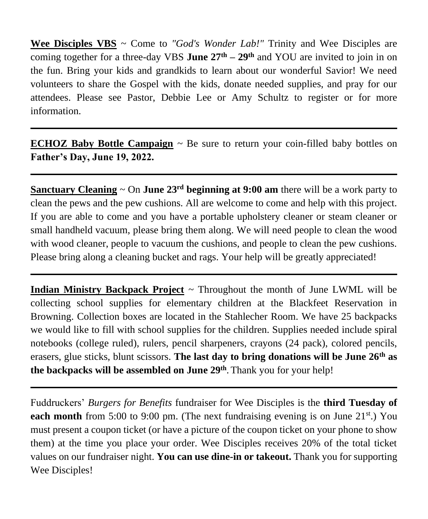**Wee Disciples VBS** ~ Come to *"God's Wonder Lab!"* Trinity and Wee Disciples are coming together for a three-day VBS **June 27th – 29th** and YOU are invited to join in on the fun. Bring your kids and grandkids to learn about our wonderful Savior! We need volunteers to share the Gospel with the kids, donate needed supplies, and pray for our attendees. Please see Pastor, Debbie Lee or Amy Schultz to register or for more information.

**ECHOZ Baby Bottle Campaign** ~ Be sure to return your coin-filled baby bottles on **Father's Day, June 19, 2022.**

**Sanctuary Cleaning**  $\sim$  On **June 23<sup>rd</sup> beginning at 9:00 am** there will be a work party to clean the pews and the pew cushions. All are welcome to come and help with this project. If you are able to come and you have a portable upholstery cleaner or steam cleaner or small handheld vacuum, please bring them along. We will need people to clean the wood with wood cleaner, people to vacuum the cushions, and people to clean the pew cushions. Please bring along a cleaning bucket and rags. Your help will be greatly appreciated!

**Indian Ministry Backpack Project** ~ Throughout the month of June LWML will be collecting school supplies for elementary children at the Blackfeet Reservation in Browning. Collection boxes are located in the Stahlecher Room. We have 25 backpacks we would like to fill with school supplies for the children. Supplies needed include spiral notebooks (college ruled), rulers, pencil sharpeners, crayons (24 pack), colored pencils, erasers, glue sticks, blunt scissors. **The last day to bring donations will be June 26th as the backpacks will be assembled on June 29th** . Thank you for your help!

Fuddruckers' *Burgers for Benefits* fundraiser for Wee Disciples is the **third Tuesday of each month** from 5:00 to 9:00 pm. (The next fundraising evening is on June 21<sup>st</sup>.) You must present a coupon ticket (or have a picture of the coupon ticket on your phone to show them) at the time you place your order. Wee Disciples receives 20% of the total ticket values on our fundraiser night. **You can use dine-in or takeout.** Thank you for supporting Wee Disciples!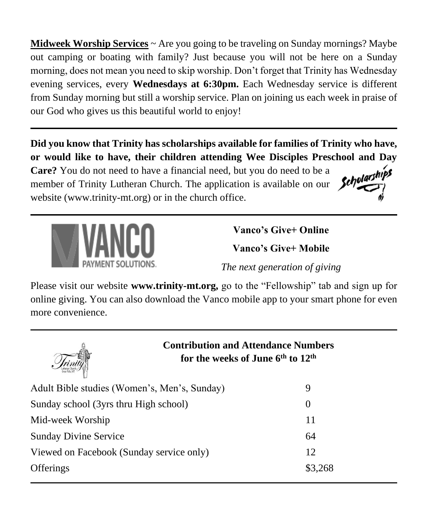**Midweek Worship Services** ~ Are you going to be traveling on Sunday mornings? Maybe out camping or boating with family? Just because you will not be here on a Sunday morning, does not mean you need to skip worship. Don't forget that Trinity has Wednesday evening services, every **Wednesdays at 6:30pm.** Each Wednesday service is different from Sunday morning but still a worship service. Plan on joining us each week in praise of our God who gives us this beautiful world to enjoy!

**Did you know that Trinity has scholarships available for families of Trinity who have, or would like to have, their children attending Wee Disciples Preschool and Day** 

**Care?** You do not need to have a financial need, but you do need to be a member of Trinity Lutheran Church. The application is available on our website (www.trinity-mt.org) or in the church office.



**Vanco's Give+ Online**

**Vanco's Give+ Mobile**

*The next generation of giving*

Please visit our website **www.trinity-mt.org,** go to the "Fellowship" tab and sign up for online giving. You can also download the Vanco mobile app to your smart phone for even more convenience.



**Contribution and Attendance Numbers for the weeks of June 6th to 12 th**

| Adult Bible studies (Women's, Men's, Sunday) | 9        |
|----------------------------------------------|----------|
| Sunday school (3yrs thru High school)        | $\theta$ |
| Mid-week Worship                             | 11       |
| <b>Sunday Divine Service</b>                 | 64       |
| Viewed on Facebook (Sunday service only)     | 12.      |
| <b>Offerings</b>                             | \$3,268  |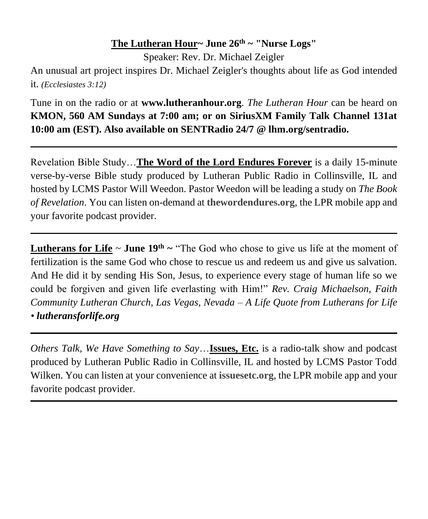### **The Lutheran Hour~ June 26th ~ "Nurse Logs"**

Speaker: Rev. Dr. Michael Zeigler

An unusual art project inspires Dr. Michael Zeigler's thoughts about life as God intended it. *(Ecclesiastes 3:12)*

Tune in on the radio or at **www.lutheranhour.org**. *The Lutheran Hour* can be heard on **KMON, 560 AM Sundays at 7:00 am; or on SiriusXM Family Talk Channel 131at 10:00 am (EST). Also available on SENTRadio 24/7 @ lhm.org/sentradio.**

Revelation Bible Study…**The Word of the Lord Endures Forever** is a daily 15-minute verse-by-verse Bible study produced by Lutheran Public Radio in Collinsville, IL and hosted by LCMS Pastor Will Weedon. Pastor Weedon will be leading a study on *The Book of Revelation*. You can listen on-demand at **thewordendures.org**, the LPR mobile app and your favorite podcast provider.

**Lutherans for Life**  $\sim$  **June 19<sup>th</sup>**  $\sim$  "The God who chose to give us life at the moment of fertilization is the same God who chose to rescue us and redeem us and give us salvation. And He did it by sending His Son, Jesus, to experience every stage of human life so we could be forgiven and given life everlasting with Him!" *Rev. Craig Michaelson, Faith Community Lutheran Church, Las Vegas, Nevada – A Life Quote from Lutherans for Life • lutheransforlife.org*

*Others Talk, We Have Something to Say*…**Issues, Etc.** is a radio-talk show and podcast produced by Lutheran Public Radio in Collinsville, IL and hosted by LCMS Pastor Todd Wilken. You can listen at your convenience at **issuesetc.org**, the LPR mobile app and your favorite podcast provider.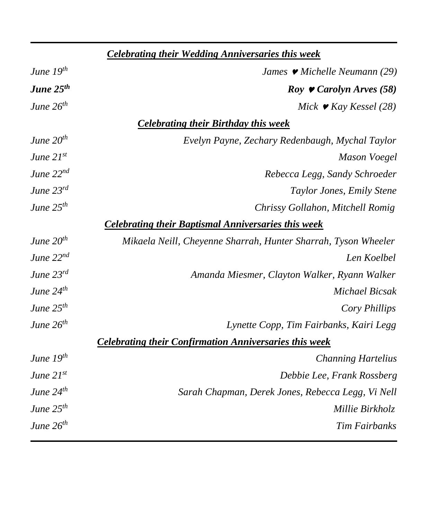| <b>Celebrating their Wedding Anniversaries this week</b> |                                                                |
|----------------------------------------------------------|----------------------------------------------------------------|
| June $19^{th}$                                           | James $\blacktriangleright$ Michelle Neumann (29)              |
| June 25 <sup>th</sup>                                    | Roy $\bullet$ Carolyn Arves (58)                               |
| June 26 <sup>th</sup>                                    | Mick $\blacktriangleright$ Kay Kessel (28)                     |
|                                                          | <b>Celebrating their Birthday this week</b>                    |
| June $20^{th}$                                           | Evelyn Payne, Zechary Redenbaugh, Mychal Taylor                |
| June 21st                                                | Mason Voegel                                                   |
| June $22^{nd}$                                           | Rebecca Legg, Sandy Schroeder                                  |
| June 23rd                                                | Taylor Jones, Emily Stene                                      |
| June $25^{th}$                                           | Chrissy Gollahon, Mitchell Romig                               |
|                                                          | <b>Celebrating their Baptismal Anniversaries this week</b>     |
| June $20th$                                              | Mikaela Neill, Cheyenne Sharrah, Hunter Sharrah, Tyson Wheeler |
| June $22^{nd}$                                           | Len Koelbel                                                    |
| June 23rd                                                | Amanda Miesmer, Clayton Walker, Ryann Walker                   |
| June $24^{th}$                                           | <b>Michael Bicsak</b>                                          |
| June $25^{th}$                                           | Cory Phillips                                                  |
| June $26^{th}$                                           | Lynette Copp, Tim Fairbanks, Kairi Legg                        |
|                                                          | <b>Celebrating their Confirmation Anniversaries this week</b>  |
| June 19th                                                | <b>Channing Hartelius</b>                                      |
| June $21^{st}$                                           | Debbie Lee, Frank Rossberg                                     |
| June $24^{th}$                                           | Sarah Chapman, Derek Jones, Rebecca Legg, Vi Nell              |
| June $25^{th}$                                           | Millie Birkholz                                                |
| June $26^{th}$                                           | <b>Tim Fairbanks</b>                                           |